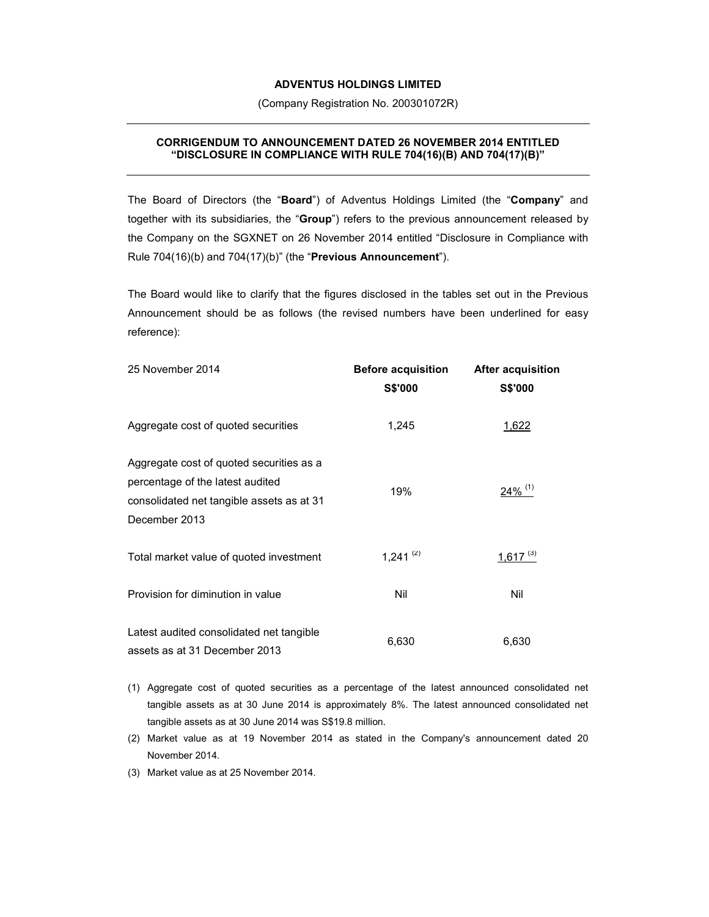## **ADVENTUS HOLDINGS LIMITED**

(Company Registration No. 200301072R)

## **CORRIGENDUM TO ANNOUNCEMENT DATED 26 NOVEMBER 2014 ENTITLED "DISCLOSURE IN COMPLIANCE WITH RULE 704(16)(B) AND 704(17)(B)"**

The Board of Directors (the "**Board**") of Adventus Holdings Limited (the "**Company**" and together with its subsidiaries, the "**Group**") refers to the previous announcement released by the Company on the SGXNET on 26 November 2014 entitled "Disclosure in Compliance with Rule 704(16)(b) and 704(17)(b)" (the "**Previous Announcement**").

The Board would like to clarify that the figures disclosed in the tables set out in the Previous Announcement should be as follows (the revised numbers have been underlined for easy reference):

| 25 November 2014                                                                                                                           | <b>Before acquisition</b><br><b>S\$'000</b> | <b>After acquisition</b><br><b>S\$'000</b> |
|--------------------------------------------------------------------------------------------------------------------------------------------|---------------------------------------------|--------------------------------------------|
| Aggregate cost of quoted securities                                                                                                        | 1,245                                       | <u>1,622</u>                               |
| Aggregate cost of quoted securities as a<br>percentage of the latest audited<br>consolidated net tangible assets as at 31<br>December 2013 | 19%                                         | $24\%$ <sup>(1)</sup>                      |
| Total market value of quoted investment                                                                                                    | $1,241$ <sup>(2)</sup>                      | $1,617$ <sup>(3)</sup>                     |
| Provision for diminution in value                                                                                                          | Nil                                         | Nil                                        |
| Latest audited consolidated net tangible<br>assets as at 31 December 2013                                                                  | 6,630                                       | 6,630                                      |

- (1) Aggregate cost of quoted securities as a percentage of the latest announced consolidated net tangible assets as at 30 June 2014 is approximately 8%. The latest announced consolidated net tangible assets as at 30 June 2014 was S\$19.8 million.
- (2) Market value as at 19 November 2014 as stated in the Company's announcement dated 20 November 2014.

(3) Market value as at 25 November 2014.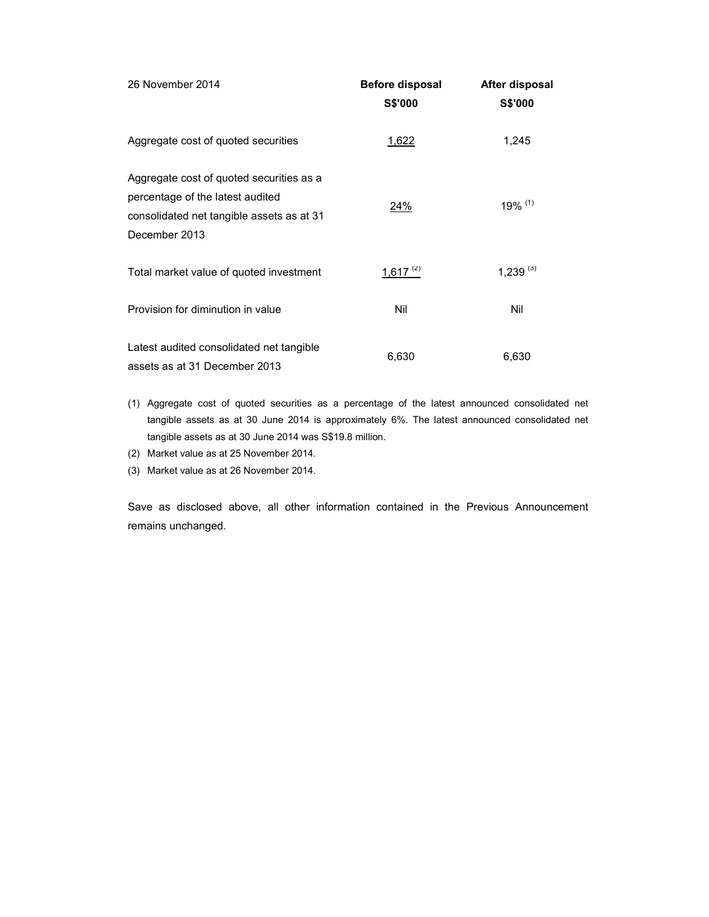| 26 November 2014                                                                                                                           | <b>Before disposal</b><br><b>S\$'000</b> | After disposal<br><b>S\$'000</b> |
|--------------------------------------------------------------------------------------------------------------------------------------------|------------------------------------------|----------------------------------|
| Aggregate cost of quoted securities                                                                                                        | 1,622                                    | 1,245                            |
| Aggregate cost of quoted securities as a<br>percentage of the latest audited<br>consolidated net tangible assets as at 31<br>December 2013 | 24%                                      | $19\%$ <sup>(1)</sup>            |
| Total market value of quoted investment                                                                                                    | 1,617 $(2)$                              | $1,239^{(3)}$                    |
| Provision for diminution in value                                                                                                          | Nil                                      | Nil                              |
| Latest audited consolidated net tangible<br>assets as at 31 December 2013                                                                  | 6,630                                    | 6,630                            |

- (1) Aggregate cost of quoted securities as a percentage of the latest announced consolidated net tangible assets as at 30 June 2014 is approximately 6%. The latest announced consolidated net tangible assets as at 30 June 2014 was S\$19.8 million.
- (2) Market value as at 25 November 2014.
- (3) Market value as at 26 November 2014.

Save as disclosed above, all other information contained in the Previous Announcement remains unchanged.